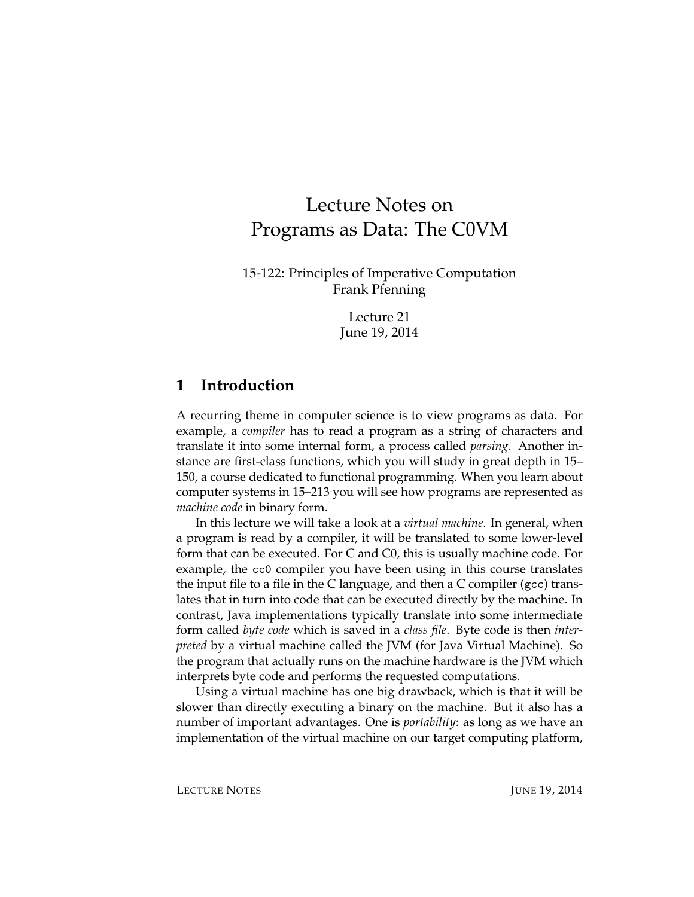# Lecture Notes on Programs as Data: The C0VM

15-122: Principles of Imperative Computation Frank Pfenning

> Lecture 21 June 19, 2014

### **1 Introduction**

A recurring theme in computer science is to view programs as data. For example, a *compiler* has to read a program as a string of characters and translate it into some internal form, a process called *parsing*. Another instance are first-class functions, which you will study in great depth in 15– 150, a course dedicated to functional programming. When you learn about computer systems in 15–213 you will see how programs are represented as *machine code* in binary form.

In this lecture we will take a look at a *virtual machine*. In general, when a program is read by a compiler, it will be translated to some lower-level form that can be executed. For C and C0, this is usually machine code. For example, the cc0 compiler you have been using in this course translates the input file to a file in the C language, and then a C compiler (gcc) translates that in turn into code that can be executed directly by the machine. In contrast, Java implementations typically translate into some intermediate form called *byte code* which is saved in a *class file*. Byte code is then *interpreted* by a virtual machine called the JVM (for Java Virtual Machine). So the program that actually runs on the machine hardware is the JVM which interprets byte code and performs the requested computations.

Using a virtual machine has one big drawback, which is that it will be slower than directly executing a binary on the machine. But it also has a number of important advantages. One is *portability*: as long as we have an implementation of the virtual machine on our target computing platform,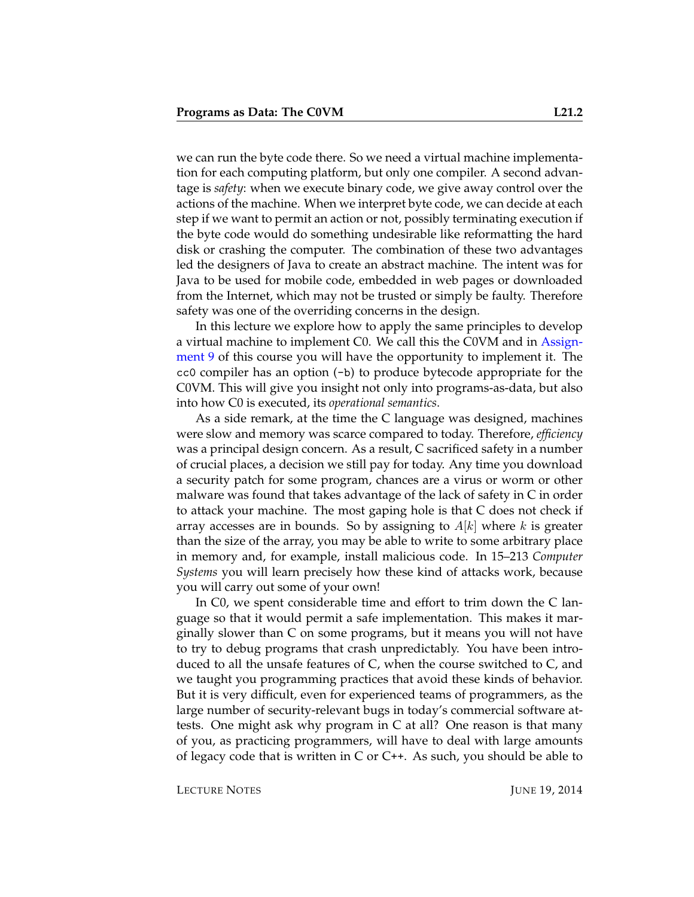we can run the byte code there. So we need a virtual machine implementation for each computing platform, but only one compiler. A second advantage is *safety*: when we execute binary code, we give away control over the actions of the machine. When we interpret byte code, we can decide at each step if we want to permit an action or not, possibly terminating execution if the byte code would do something undesirable like reformatting the hard disk or crashing the computer. The combination of these two advantages led the designers of Java to create an abstract machine. The intent was for Java to be used for mobile code, embedded in web pages or downloaded from the Internet, which may not be trusted or simply be faulty. Therefore safety was one of the overriding concerns in the design.

In this lecture we explore how to apply the same principles to develop a virtual machine to implement C0. We call this the C0VM and in [Assign](http://www.cs.cmu.edu/afs/cs.cmu.edu/academic/class/15122-s14/www/prog9.pdf)[ment 9](http://www.cs.cmu.edu/afs/cs.cmu.edu/academic/class/15122-s14/www/prog9.pdf) of this course you will have the opportunity to implement it. The cc0 compiler has an option (-b) to produce bytecode appropriate for the C0VM. This will give you insight not only into programs-as-data, but also into how C0 is executed, its *operational semantics*.

As a side remark, at the time the C language was designed, machines were slow and memory was scarce compared to today. Therefore, *efficiency* was a principal design concern. As a result, C sacrificed safety in a number of crucial places, a decision we still pay for today. Any time you download a security patch for some program, chances are a virus or worm or other malware was found that takes advantage of the lack of safety in C in order to attack your machine. The most gaping hole is that C does not check if array accesses are in bounds. So by assigning to  $A[k]$  where k is greater than the size of the array, you may be able to write to some arbitrary place in memory and, for example, install malicious code. In 15–213 *Computer Systems* you will learn precisely how these kind of attacks work, because you will carry out some of your own!

In C0, we spent considerable time and effort to trim down the C language so that it would permit a safe implementation. This makes it marginally slower than C on some programs, but it means you will not have to try to debug programs that crash unpredictably. You have been introduced to all the unsafe features of C, when the course switched to C, and we taught you programming practices that avoid these kinds of behavior. But it is very difficult, even for experienced teams of programmers, as the large number of security-relevant bugs in today's commercial software attests. One might ask why program in C at all? One reason is that many of you, as practicing programmers, will have to deal with large amounts of legacy code that is written in C or  $C_{++}$ . As such, you should be able to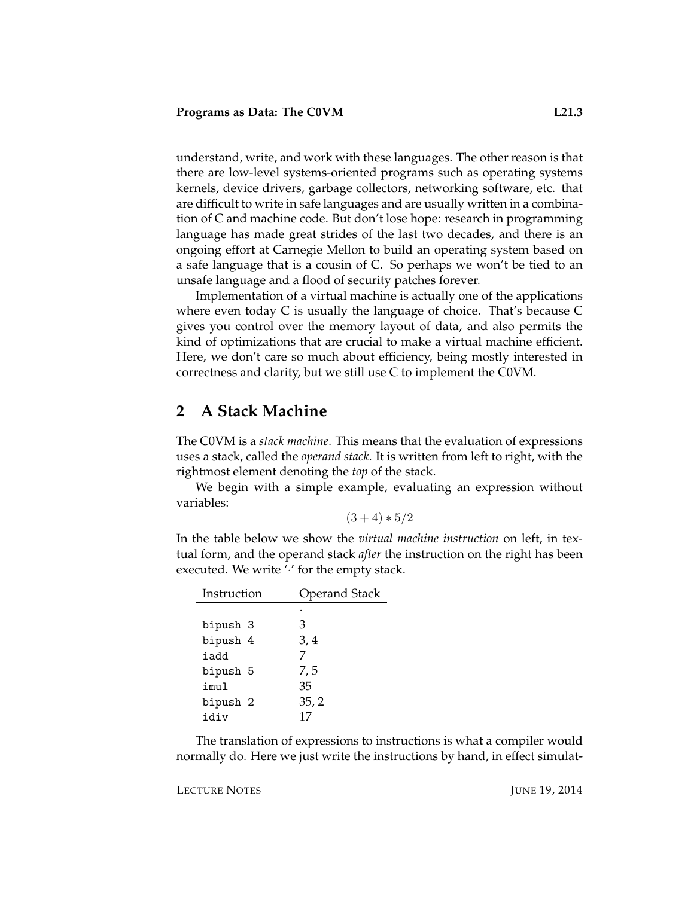understand, write, and work with these languages. The other reason is that there are low-level systems-oriented programs such as operating systems kernels, device drivers, garbage collectors, networking software, etc. that are difficult to write in safe languages and are usually written in a combination of C and machine code. But don't lose hope: research in programming language has made great strides of the last two decades, and there is an ongoing effort at Carnegie Mellon to build an operating system based on a safe language that is a cousin of C. So perhaps we won't be tied to an unsafe language and a flood of security patches forever.

Implementation of a virtual machine is actually one of the applications where even today C is usually the language of choice. That's because C gives you control over the memory layout of data, and also permits the kind of optimizations that are crucial to make a virtual machine efficient. Here, we don't care so much about efficiency, being mostly interested in correctness and clarity, but we still use C to implement the C0VM.

### **2 A Stack Machine**

The C0VM is a *stack machine*. This means that the evaluation of expressions uses a stack, called the *operand stack*. It is written from left to right, with the rightmost element denoting the *top* of the stack.

We begin with a simple example, evaluating an expression without variables:

$$
(3+4)*5/2
$$

In the table below we show the *virtual machine instruction* on left, in textual form, and the operand stack *after* the instruction on the right has been executed. We write " for the empty stack.

| Instruction | <b>Operand Stack</b> |  |  |
|-------------|----------------------|--|--|
|             |                      |  |  |
| bipush 3    | З                    |  |  |
| bipush 4    | 3, 4                 |  |  |
| iadd        |                      |  |  |
| bipush 5    | 7,5                  |  |  |
| imul        | 35                   |  |  |
| bipush 2    | 35, 2                |  |  |
| idiv        | 17                   |  |  |

The translation of expressions to instructions is what a compiler would normally do. Here we just write the instructions by hand, in effect simulat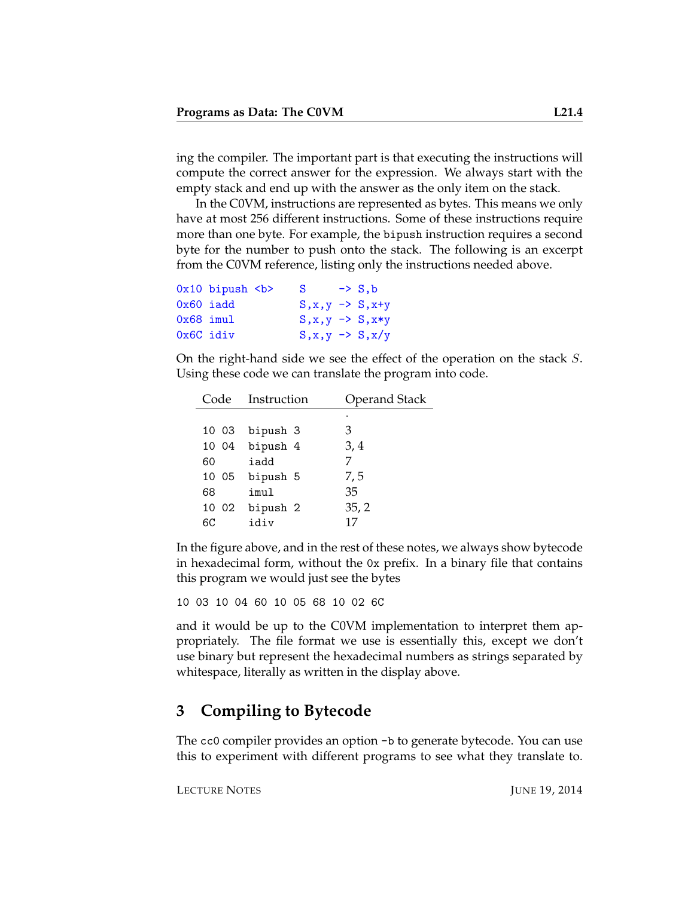ing the compiler. The important part is that executing the instructions will compute the correct answer for the expression. We always start with the empty stack and end up with the answer as the only item on the stack.

In the C0VM, instructions are represented as bytes. This means we only have at most 256 different instructions. Some of these instructions require more than one byte. For example, the bipush instruction requires a second byte for the number to push onto the stack. The following is an excerpt from the C0VM reference, listing only the instructions needed above.

|             | $0x10$ bipush $>$ | S                            | $\rightarrow$ S.b |
|-------------|-------------------|------------------------------|-------------------|
| $0x60$ iadd |                   | $S, x, y \rightarrow S, x+y$ |                   |
| $0x68$ imul |                   | $S, x, y \rightarrow S, x*y$ |                   |
| 0x6C idiv   |                   | $S, x, y \rightarrow S, x/y$ |                   |

On the right-hand side we see the effect of the operation on the stack S. Using these code we can translate the program into code.

|       | Code Instruction | <b>Operand Stack</b> |  |
|-------|------------------|----------------------|--|
|       |                  | ٠                    |  |
| 10 03 | bipush 3         | З                    |  |
|       | 10 04 bipush 4   | 3,4                  |  |
| 60    | iadd             |                      |  |
|       | 10 05 bipush 5   | 7,5                  |  |
| 68    | imul             | 35                   |  |
|       | 10 02 bipush 2   | 35, 2                |  |
| 6C    | idiv             | 17                   |  |

In the figure above, and in the rest of these notes, we always show bytecode in hexadecimal form, without the 0x prefix. In a binary file that contains this program we would just see the bytes

10 03 10 04 60 10 05 68 10 02 6C

and it would be up to the C0VM implementation to interpret them appropriately. The file format we use is essentially this, except we don't use binary but represent the hexadecimal numbers as strings separated by whitespace, literally as written in the display above.

### **3 Compiling to Bytecode**

The cc0 compiler provides an option -b to generate bytecode. You can use this to experiment with different programs to see what they translate to.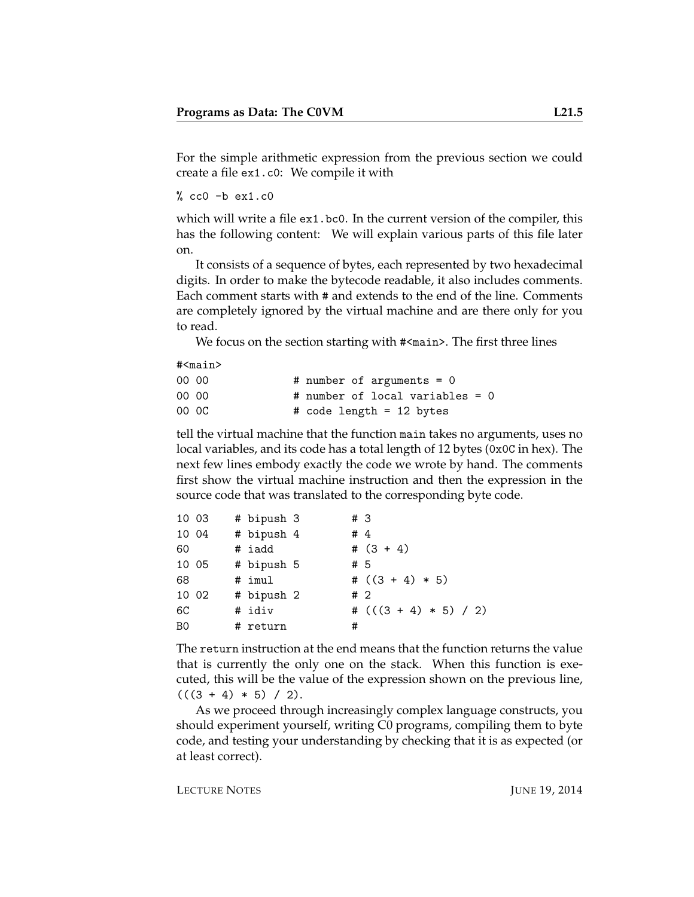For the simple arithmetic expression from the previous section we could create a file ex1.c0: We compile it with

 $%$  cc0  $-b$  ex1.c0

which will write a file ex1.bc0. In the current version of the compiler, this has the following content: We will explain various parts of this file later on.

It consists of a sequence of bytes, each represented by two hexadecimal digits. In order to make the bytecode readable, it also includes comments. Each comment starts with # and extends to the end of the line. Comments are completely ignored by the virtual machine and are there only for you to read.

We focus on the section starting with  $\#$ <main>. The first three lines

#<main>

| 00 00 | # number of arguments = $0$     |  |
|-------|---------------------------------|--|
| 00 00 | # number of local variables = 0 |  |
| 00 OC | # code length = 12 bytes        |  |

tell the virtual machine that the function main takes no arguments, uses no local variables, and its code has a total length of 12 bytes (0x0C in hex). The next few lines embody exactly the code we wrote by hand. The comments first show the virtual machine instruction and then the expression in the source code that was translated to the corresponding byte code.

| 10 03 |       | # bipush 3 | # 3 |                         |
|-------|-------|------------|-----|-------------------------|
| 10 04 |       | # bipush 4 | #4  |                         |
| 60    |       | # iadd     |     | # $(3 + 4)$             |
|       | 10 05 | # bipush 5 | #5  |                         |
| 68    |       | # imul     |     | # $((3 + 4) * 5)$       |
| 10 02 |       | # bipush 2 | #2  |                         |
| 6C    |       | # idiv     |     | # $(((3 + 4) * 5) / 2)$ |
| B0    |       | # return   | #   |                         |

The return instruction at the end means that the function returns the value that is currently the only one on the stack. When this function is executed, this will be the value of the expression shown on the previous line,  $(((3 + 4) * 5) / 2).$ 

As we proceed through increasingly complex language constructs, you should experiment yourself, writing C0 programs, compiling them to byte code, and testing your understanding by checking that it is as expected (or at least correct).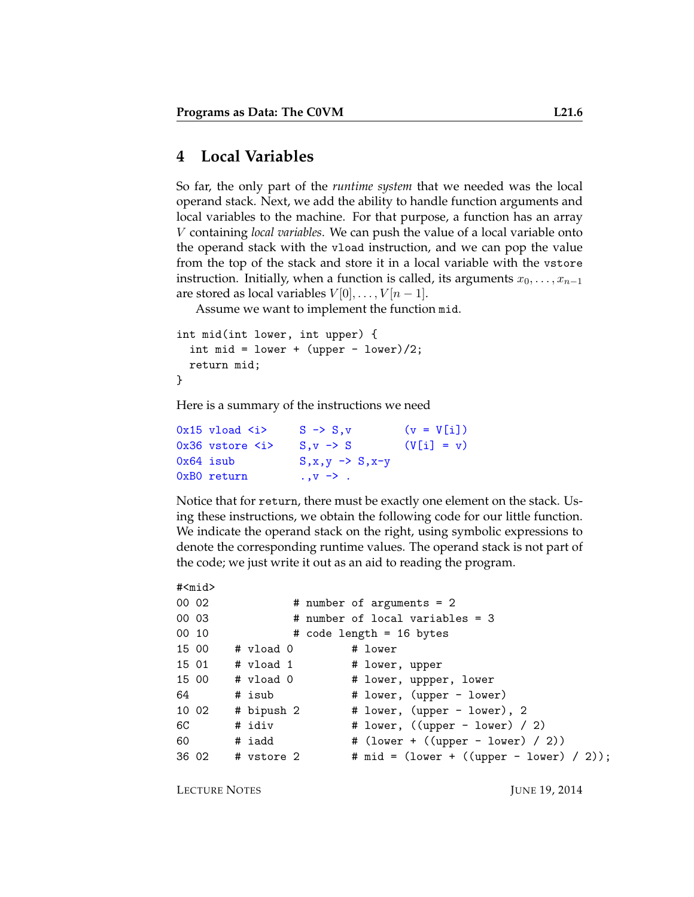#### **4 Local Variables**

So far, the only part of the *runtime system* that we needed was the local operand stack. Next, we add the ability to handle function arguments and local variables to the machine. For that purpose, a function has an array V containing *local variables*. We can push the value of a local variable onto the operand stack with the vload instruction, and we can pop the value from the top of the stack and store it in a local variable with the vstore instruction. Initially, when a function is called, its arguments  $x_0, \ldots, x_{n-1}$ are stored as local variables  $V[0], \ldots, V[n-1].$ 

Assume we want to implement the function mid.

```
int mid(int lower, int upper) {
  int mid = lower + (upper - lower)/2;
  return mid;
}
```
Here is a summary of the instructions we need

| $0x15$ vload $\langle i \rangle$  | $S \rightarrow S.v$           | $(v = V[i])$ |
|-----------------------------------|-------------------------------|--------------|
| $0x36$ vstore $\langle i \rangle$ | $S_v \rightarrow S$           | $(V[i] = v)$ |
| 0x64 isub                         | $S, x, y \rightarrow S, x-y$  |              |
| 0xB0 return                       | $\cdot \cdot v \rightarrow$ . |              |

Notice that for return, there must be exactly one element on the stack. Using these instructions, we obtain the following code for our little function. We indicate the operand stack on the right, using symbolic expressions to denote the corresponding runtime values. The operand stack is not part of the code; we just write it out as an aid to reading the program.

```
#<mid>
00 02 # number of arguments = 2
00 03 # number of local variables = 3
00 10 # code length = 16 bytes
15 00 # vload 0 # lower
15 01 # vload 1 # lower, upper
15 00 # vload 0 # lower, uppper, lower
64 # isub # lower, (upper - lower)
10 02 # bipush 2 # lower, (upper - lower), 2
6C # idiv # lower, ((upper - lower) / 2)
60 # iadd # (lower + ((upper - lower) / 2))
36 02 # vstore 2 # mid = (lower + ((upper - lower) / 2));
```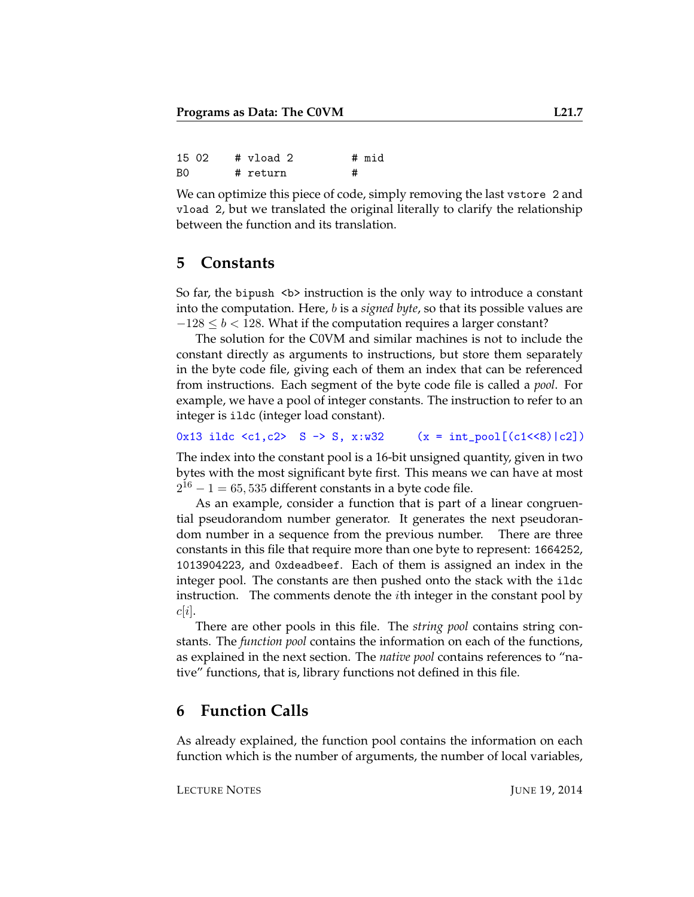| 15 02 |  | # vload 2 |   | # mid |
|-------|--|-----------|---|-------|
| B0    |  | # return  | # |       |

We can optimize this piece of code, simply removing the last vstore 2 and vload 2, but we translated the original literally to clarify the relationship between the function and its translation.

#### **5 Constants**

So far, the bipush  $\langle b \rangle$  instruction is the only way to introduce a constant into the computation. Here, b is a *signed byte*, so that its possible values are  $-128 \le b < 128$ . What if the computation requires a larger constant?

The solution for the C0VM and similar machines is not to include the constant directly as arguments to instructions, but store them separately in the byte code file, giving each of them an index that can be referenced from instructions. Each segment of the byte code file is called a *pool*. For example, we have a pool of integer constants. The instruction to refer to an integer is ildc (integer load constant).

0x13 ildc <c1,c2> S -> S, x:w32 (x = int\_pool[(c1<<8)|c2])

The index into the constant pool is a 16-bit unsigned quantity, given in two bytes with the most significant byte first. This means we can have at most  $2^{16} - 1 = 65,535$  different constants in a byte code file.

As an example, consider a function that is part of a linear congruential pseudorandom number generator. It generates the next pseudorandom number in a sequence from the previous number. There are three constants in this file that require more than one byte to represent: 1664252, 1013904223, and 0xdeadbeef. Each of them is assigned an index in the integer pool. The constants are then pushed onto the stack with the ildc instruction. The comments denote the ith integer in the constant pool by  $c|i|.$ 

There are other pools in this file. The *string pool* contains string constants. The *function pool* contains the information on each of the functions, as explained in the next section. The *native pool* contains references to "native" functions, that is, library functions not defined in this file.

#### **6 Function Calls**

As already explained, the function pool contains the information on each function which is the number of arguments, the number of local variables,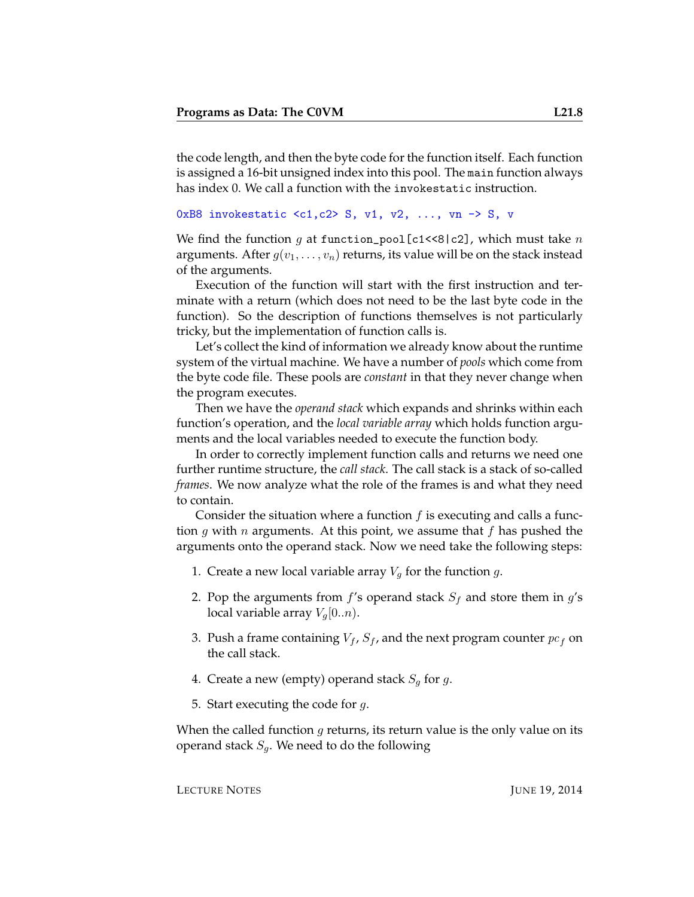the code length, and then the byte code for the function itself. Each function is assigned a 16-bit unsigned index into this pool. The main function always has index 0. We call a function with the invokestatic instruction.

```
0xB8 invokestatic \langle c1, c2 \rangle S, v1, v2, ..., vn \rightarrow S, v
```
We find the function q at function\_pool[c1<<8|c2], which must take  $n$ arguments. After  $g(v_1, \ldots, v_n)$  returns, its value will be on the stack instead of the arguments.

Execution of the function will start with the first instruction and terminate with a return (which does not need to be the last byte code in the function). So the description of functions themselves is not particularly tricky, but the implementation of function calls is.

Let's collect the kind of information we already know about the runtime system of the virtual machine. We have a number of *pools* which come from the byte code file. These pools are *constant* in that they never change when the program executes.

Then we have the *operand stack* which expands and shrinks within each function's operation, and the *local variable array* which holds function arguments and the local variables needed to execute the function body.

In order to correctly implement function calls and returns we need one further runtime structure, the *call stack*. The call stack is a stack of so-called *frames*. We now analyze what the role of the frames is and what they need to contain.

Consider the situation where a function  $f$  is executing and calls a function g with n arguments. At this point, we assume that f has pushed the arguments onto the operand stack. Now we need take the following steps:

- 1. Create a new local variable array  $V_g$  for the function  $g$ .
- 2. Pop the arguments from  $f$ 's operand stack  $S_f$  and store them in  $g$ 's local variable array  $V_q[0..n)$ .
- 3. Push a frame containing  $V_f$ ,  $S_f$ , and the next program counter  $pc_f$  on the call stack.
- 4. Create a new (empty) operand stack  $S_q$  for g.
- 5. Start executing the code for  $q$ .

When the called function  $g$  returns, its return value is the only value on its operand stack  $S_q$ . We need to do the following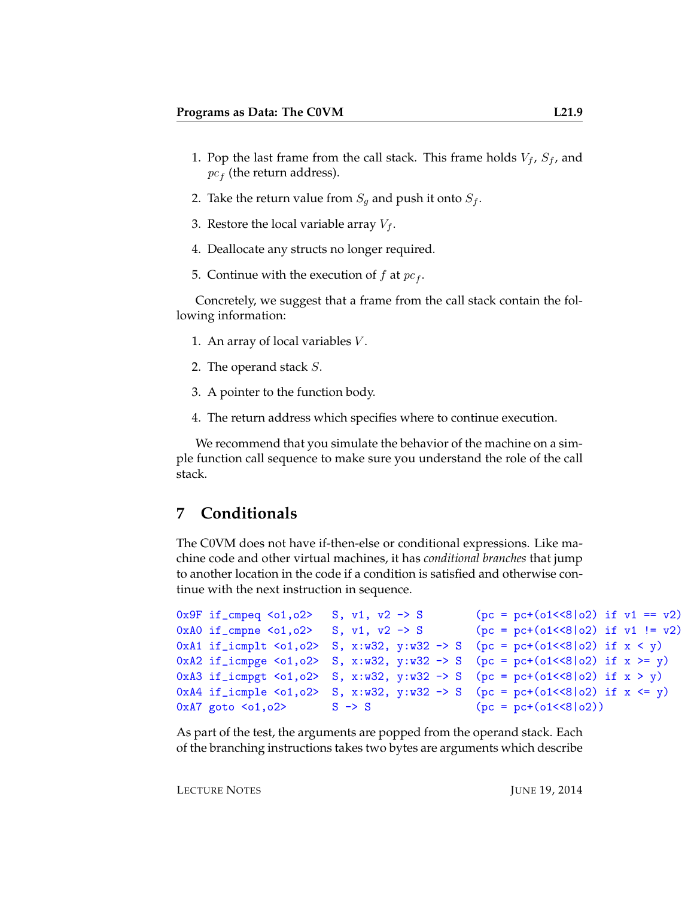- 1. Pop the last frame from the call stack. This frame holds  $V_f$ ,  $S_f$ , and  $pc<sub>f</sub>$  (the return address).
- 2. Take the return value from  $S_q$  and push it onto  $S_f$ .
- 3. Restore the local variable array  $V_f$ .
- 4. Deallocate any structs no longer required.
- 5. Continue with the execution of  $f$  at  $pc_f$ .

Concretely, we suggest that a frame from the call stack contain the following information:

- 1. An array of local variables  $V$ .
- 2. The operand stack S.
- 3. A pointer to the function body.
- 4. The return address which specifies where to continue execution.

We recommend that you simulate the behavior of the machine on a simple function call sequence to make sure you understand the role of the call stack.

#### **7 Conditionals**

The C0VM does not have if-then-else or conditional expressions. Like machine code and other virtual machines, it has *conditional branches* that jump to another location in the code if a condition is satisfied and otherwise continue with the next instruction in sequence.

```
0x9F if_cmpeq <o1,o2> S, v1, v2 -> S (pc = pc+(o1<<8|o2) if v1 == v2)
0xA0 if_cmpne <o1,o2> S, v1, v2 -> S (pc = pc+(o1<<8|o2) if v1 != v2)
0xA1 if_icmplt <o1,o2> S, x:w32, y:w32 -> S (pc = pc+(o1<<8|o2) if x < y)
0xA2 if_icmpge <o1,o2> S, x:w32, y:w32 -> S (pc = pc+(o1<<8|o2) if x >= y)
0xA3 if_icmpgt <o1,o2> S, x:w32, y:w32 -> S (pc = pc+(o1<<8|o2) if x > y)
0xA4 if_icmple <o1, o2> S, x:w32, y:w32 -> S (pc = pc+(o1<<8|o2) if x <= y)
0xA7 goto <o1,o2> S \rightarrow S (pc = pc+(o1<<8|o2))
```
As part of the test, the arguments are popped from the operand stack. Each of the branching instructions takes two bytes are arguments which describe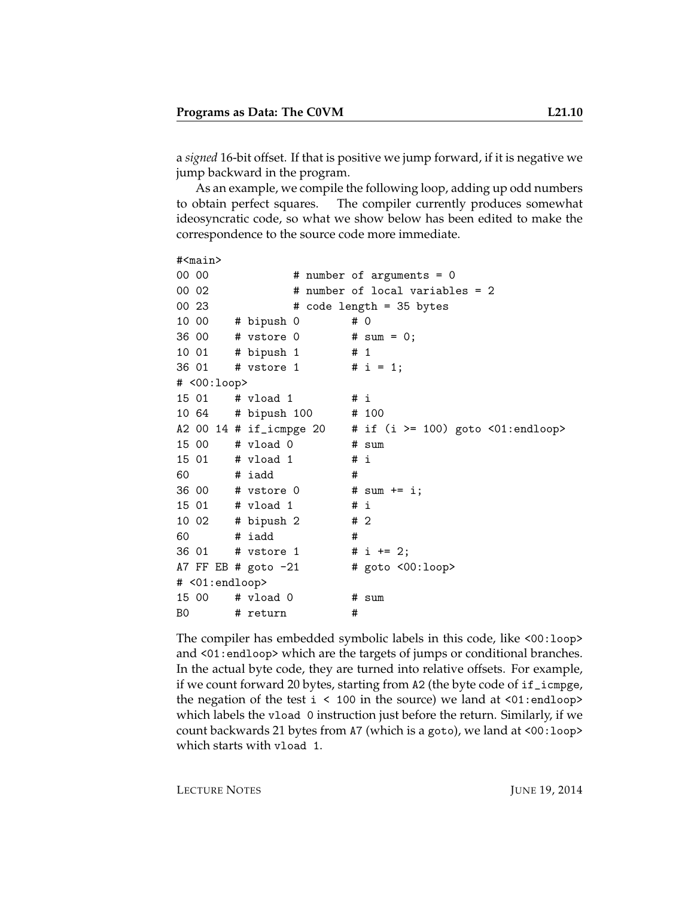a *signed* 16-bit offset. If that is positive we jump forward, if it is negative we jump backward in the program.

As an example, we compile the following loop, adding up odd numbers to obtain perfect squares. The compiler currently produces somewhat ideosyncratic code, so what we show below has been edited to make the correspondence to the source code more immediate.

```
#<main>
00 00 # number of arguments = 0
00 02 # number of local variables = 2
00\,23 \text{# code length} = 35 \text{ bytes}10 00 # bipush 0 # 0
36 00 # vstore 0 # sum = 0;
10 01 # bipush 1 # 1
36 01 # vstore 1 # i = 1;
# <00:loop>
15 01 # vload 1 # i
10 64 # bipush 100 # 100
A2 00 14 # if_icmpge 20 = # if (i >= 100) goto \langle01:endloop>
15 00 # vload 0 # sum
15 01 # vload 1 # i
60 # iadd #
36 00 # vstore 0 # sum += i;
15 01 # vload 1 # i
10 02 # bipush 2 # 2
60 # iadd #
36 01 # vstore 1 # i += 2;
A7 FF EB # goto -21 # goto <00:loop# <01:endloop>
15 00 # vload 0 # sum
B0 # return #
```
The compiler has embedded symbolic labels in this code, like <00:loop> and <01:endloop> which are the targets of jumps or conditional branches. In the actual byte code, they are turned into relative offsets. For example, if we count forward 20 bytes, starting from A2 (the byte code of if\_icmpge, the negation of the test  $i < 100$  in the source) we land at  $\langle 01$ : endloop> which labels the vload 0 instruction just before the return. Similarly, if we count backwards 21 bytes from A7 (which is a goto), we land at <00:loop> which starts with vload 1.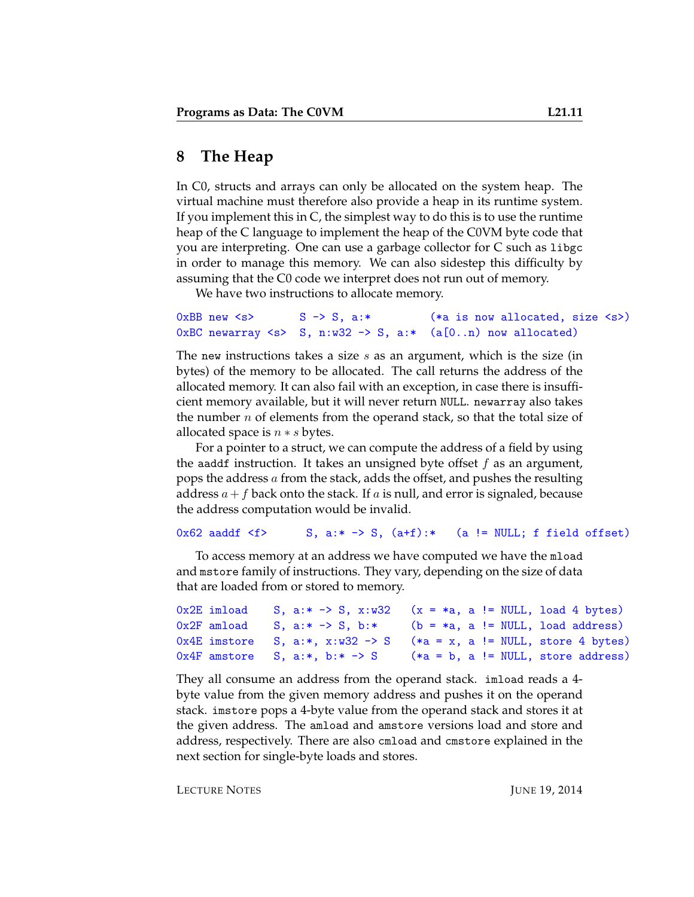### **8 The Heap**

In C0, structs and arrays can only be allocated on the system heap. The virtual machine must therefore also provide a heap in its runtime system. If you implement this in C, the simplest way to do this is to use the runtime heap of the C language to implement the heap of the C0VM byte code that you are interpreting. One can use a garbage collector for C such as libgc in order to manage this memory. We can also sidestep this difficulty by assuming that the C0 code we interpret does not run out of memory.

We have two instructions to allocate memory.

```
0xBB new \langle s \rangle S -> S, a:* (*a is now allocated, size \langle s \rangle)
0xBC newarray \langle s \rangle S, n:w32 -> S, a:* (a[0..n) now allocated)
```
The new instructions takes a size  $s$  as an argument, which is the size (in bytes) of the memory to be allocated. The call returns the address of the allocated memory. It can also fail with an exception, in case there is insufficient memory available, but it will never return NULL. newarray also takes the number  $n$  of elements from the operand stack, so that the total size of allocated space is  $n * s$  bytes.

For a pointer to a struct, we can compute the address of a field by using the aaddf instruction. It takes an unsigned byte offset  $f$  as an argument, pops the address a from the stack, adds the offset, and pushes the resulting address  $a+f$  back onto the stack. If a is null, and error is signaled, because the address computation would be invalid.

#### 0x62 aaddf  $\leq f$ > S, a:\* -> S, (a+f):\* (a != NULL; f field offset)

To access memory at an address we have computed we have the mload and mstore family of instructions. They vary, depending on the size of data that are loaded from or stored to memory.

```
0x2E imload S, a:* \rightarrow S, x:w32 (x = *a, a != NULL, load 4 bytes)
0x2F amload S, a:* -> S, b:* (b = *a, a != NULL, load address)
0x4E imstore S, a:*, x:w32 \rightarrow S (*a = x, a != NULL, store 4 bytes)
0x4F amstore S, a:*, b:* \rightarrow S (*a = b, a != NULL, store address)
```
They all consume an address from the operand stack. imload reads a 4 byte value from the given memory address and pushes it on the operand stack. imstore pops a 4-byte value from the operand stack and stores it at the given address. The amload and amstore versions load and store and address, respectively. There are also cmload and cmstore explained in the next section for single-byte loads and stores.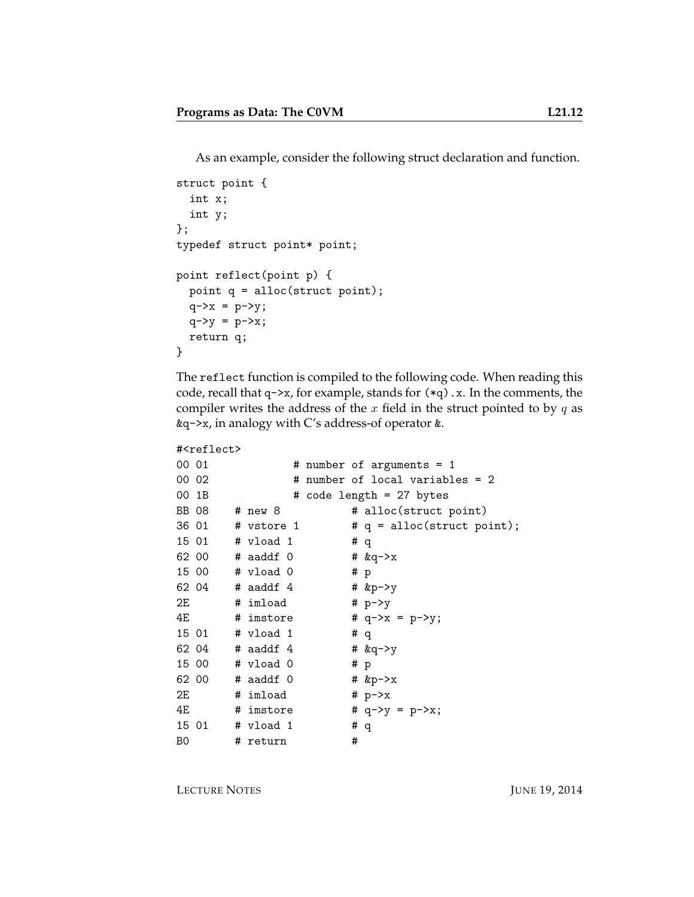As an example, consider the following struct declaration and function.

```
struct point {
 int x;
  int y;
};
typedef struct point* point;
point reflect(point p) {
 point q = alloc(struct point);
 q->x = p->y;q - y = p - x;return q;
}
```
The reflect function is compiled to the following code. When reading this code, recall that  $q\rightarrow x$ , for example, stands for  $(*q)$ . x. In the comments, the compiler writes the address of the  $x$  field in the struct pointed to by  $q$  as &q->x, in analogy with C's address-of operator &.

```
#<reflect>
```

```
00\ 01 \# number of arguments = 1
00 02 # number of local variables = 2
00 1B \# code length = 27 bytes
BB 08 # new 8 # alloc(struct point)
36 01 \# vstore 1 \# q = alloc(struct point);
15 01 # vload 1 # q
62 00 # aaddf 0 # \&q->x
15 00 # vload 0 # p
62 04 # aaddf 4 # kp \rightarrow y2E # imload # p \rightarrow y4E \# imstore \# q->x = p->y;
15 01 # vload 1 # q
62 04 # a \cdot b \cdot 4 # a \cdot b \cdot 4 # a \cdot b \cdot 415 00 # vload 0 # p
62 00 # aaddf 0 # \&p\rightarrow x2E \# imload \# p->x
4E # imstore # q->y = p->x;
15 01 # vload 1 # q
B0 # return #
```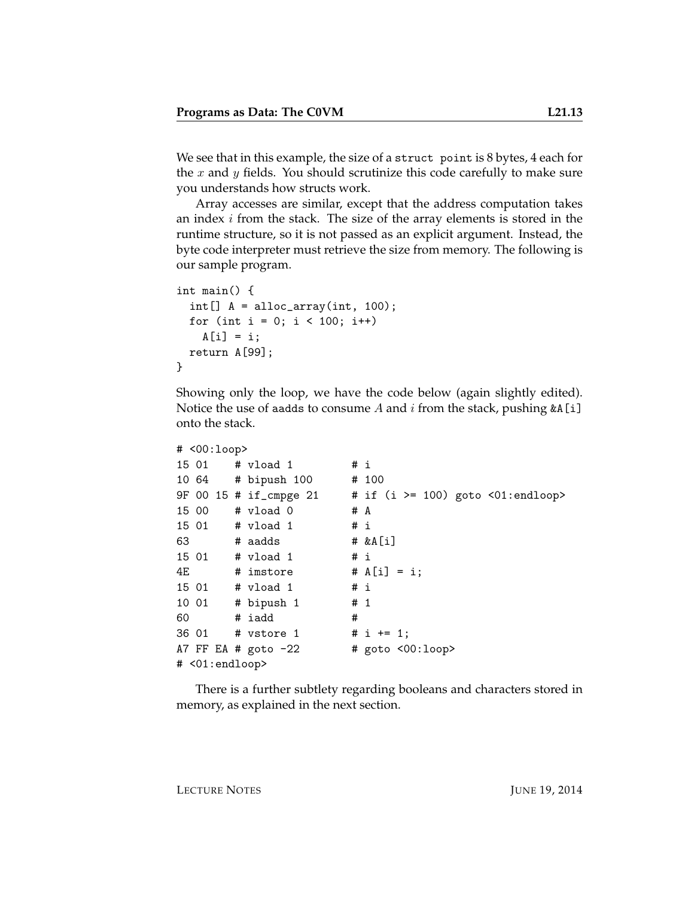We see that in this example, the size of a struct point is 8 bytes, 4 each for the x and y fields. You should scrutinize this code carefully to make sure you understands how structs work.

Array accesses are similar, except that the address computation takes an index  $i$  from the stack. The size of the array elements is stored in the runtime structure, so it is not passed as an explicit argument. Instead, the byte code interpreter must retrieve the size from memory. The following is our sample program.

```
int main() {
 int[] A = alloc_array(int, 100);for (int i = 0; i < 100; i++)A[i] = i;return A[99];
}
```
Showing only the loop, we have the code below (again slightly edited). Notice the use of aadds to consume A and i from the stack, pushing  $\&A[i]$ onto the stack.

```
# <00:loop>
15 01 # vload 1 # i
10 64 # bipush 100 # 100
9F 00 15 # if_cmpge 21 # if (i >= 100) goto <01:endloop>
15 00 # vload 0 # A
15 01 # vload 1 # i
63 # aadds # \&A[i]15 01 # vload 1 # i
4E \# imstore \# A[i] = i;
15 01 # vload 1 # i
10 01 # bipush 1 # 1
60 # iadd #
36 01 # vstore 1 # i += 1;
A7 FF EA # goto -22 # goto <00:loop># <01:endloop>
```
There is a further subtlety regarding booleans and characters stored in memory, as explained in the next section.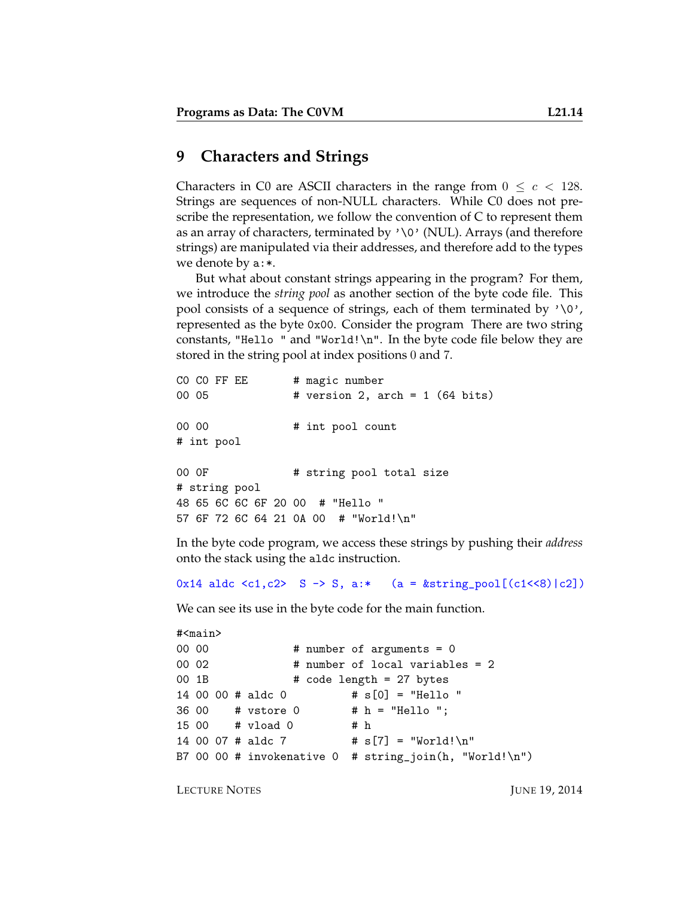#### **9 Characters and Strings**

Characters in C0 are ASCII characters in the range from  $0 \leq c < 128$ . Strings are sequences of non-NULL characters. While C0 does not prescribe the representation, we follow the convention of C to represent them as an array of characters, terminated by  $\sqrt{v}$  (NUL). Arrays (and therefore strings) are manipulated via their addresses, and therefore add to the types we denote by a:\*.

But what about constant strings appearing in the program? For them, we introduce the *string pool* as another section of the byte code file. This pool consists of a sequence of strings, each of them terminated by  $\sqrt{0}$ , represented as the byte 0x00. Consider the program There are two string constants, "Hello " and "World! $\n\cdot$ ". In the byte code file below they are stored in the string pool at index positions 0 and 7.

```
CO CO FF EE # magic number
00 05 # version 2, arch = 1 (64 bits)
00 00 \# int pool count
# int pool
00 OF # string pool total size
# string pool
48 65 6C 6C 6F 20 00 # "Hello "
57 6F 72 6C 64 21 0A 00 # "World!\n"
```
In the byte code program, we access these strings by pushing their *address* onto the stack using the aldc instruction.

0x14 aldc <c1,c2> S -> S, a:\* (a =  $kstring\_pool[(c1<<8)|c2])$ 

We can see its use in the byte code for the main function.

```
#<main>
00\ 00 # number of arguments = 0
00 02 # number of local variables = 2
00 1B \# \text{ code length} = 27 \text{ bytes}14 00 00 # aldc 0 # s[0] = "Hello "
36 00 # vstore 0 # h = "Hello ";
15 00 # vload 0 # h
14 00 07 # aldc 7 \# s[7] = "World!\nB7 00 00 # invokenative 0 # string_join(h, "World!\n")
```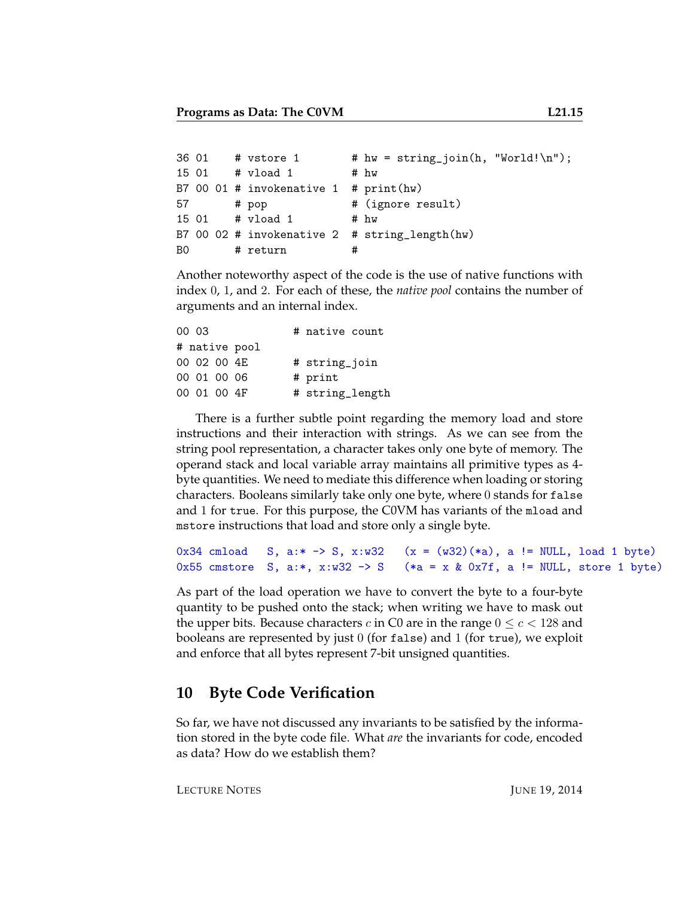```
36 01 # vstore 1 # hw = \text{string\_join}(h, "World! \n'');15 01 # vload 1 # hw
B7 00 01 # invokenative 1 # print(hw)
57 # pop # (ignore result)
15 01 # vload 1 # hw
B7 00 02 # invokenative 2 # string_length(hw)
B0 # return #
```
Another noteworthy aspect of the code is the use of native functions with index 0, 1, and 2. For each of these, the *native pool* contains the number of arguments and an internal index.

| 00 03       |              |               | # native count  |  |
|-------------|--------------|---------------|-----------------|--|
|             |              | # native pool |                 |  |
|             | 00 02 00 4F. |               | # string_join   |  |
|             | 00 01 00 06  |               | # print         |  |
| 00 01 00 4F |              |               | # string_length |  |

There is a further subtle point regarding the memory load and store instructions and their interaction with strings. As we can see from the string pool representation, a character takes only one byte of memory. The operand stack and local variable array maintains all primitive types as 4 byte quantities. We need to mediate this difference when loading or storing characters. Booleans similarly take only one byte, where 0 stands for false and 1 for true. For this purpose, the C0VM has variants of the mload and mstore instructions that load and store only a single byte.

```
0x34 cmload S, a:* -> S, x:w32 (x = (w32)(*a), a != NULL, load 1 byte)
0x55 cmstore S, a:*, x:w32 -> S (*a = x & 0x7f, a != NULL, store 1 byte)
```
As part of the load operation we have to convert the byte to a four-byte quantity to be pushed onto the stack; when writing we have to mask out the upper bits. Because characters c in C0 are in the range  $0 \le c < 128$  and booleans are represented by just  $0$  (for false) and 1 (for true), we exploit and enforce that all bytes represent 7-bit unsigned quantities.

### **10 Byte Code Verification**

So far, we have not discussed any invariants to be satisfied by the information stored in the byte code file. What *are* the invariants for code, encoded as data? How do we establish them?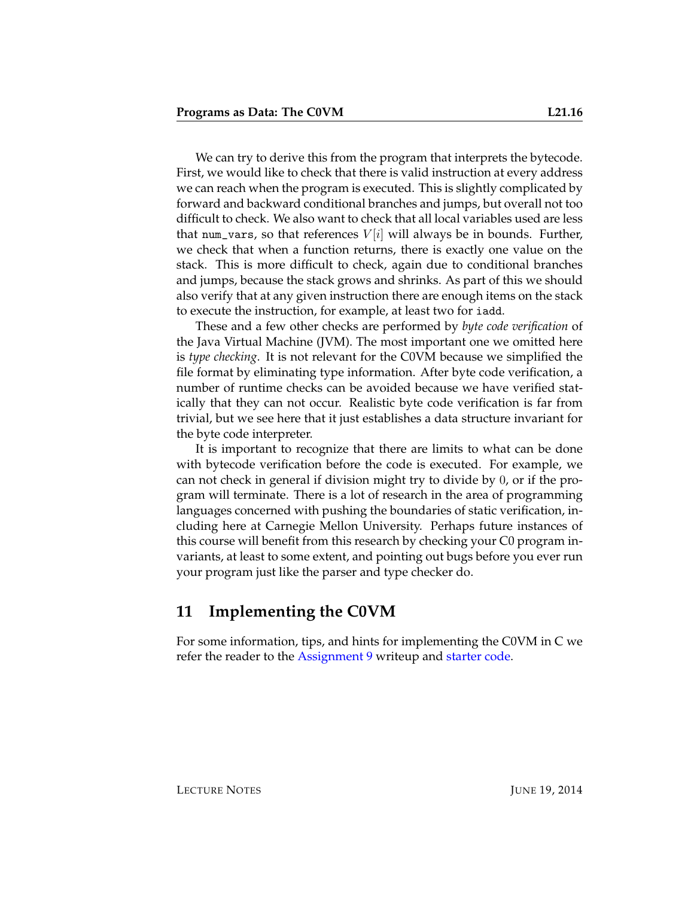We can try to derive this from the program that interprets the bytecode. First, we would like to check that there is valid instruction at every address we can reach when the program is executed. This is slightly complicated by forward and backward conditional branches and jumps, but overall not too difficult to check. We also want to check that all local variables used are less that num\_vars, so that references  $V[i]$  will always be in bounds. Further, we check that when a function returns, there is exactly one value on the stack. This is more difficult to check, again due to conditional branches and jumps, because the stack grows and shrinks. As part of this we should also verify that at any given instruction there are enough items on the stack to execute the instruction, for example, at least two for iadd.

These and a few other checks are performed by *byte code verification* of the Java Virtual Machine (JVM). The most important one we omitted here is *type checking*. It is not relevant for the C0VM because we simplified the file format by eliminating type information. After byte code verification, a number of runtime checks can be avoided because we have verified statically that they can not occur. Realistic byte code verification is far from trivial, but we see here that it just establishes a data structure invariant for the byte code interpreter.

It is important to recognize that there are limits to what can be done with bytecode verification before the code is executed. For example, we can not check in general if division might try to divide by 0, or if the program will terminate. There is a lot of research in the area of programming languages concerned with pushing the boundaries of static verification, including here at Carnegie Mellon University. Perhaps future instances of this course will benefit from this research by checking your C0 program invariants, at least to some extent, and pointing out bugs before you ever run your program just like the parser and type checker do.

#### **11 Implementing the C0VM**

For some information, tips, and hints for implementing the C0VM in C we refer the reader to the [Assignment 9](http://www.cs.cmu.edu/afs/cs.cmu.edu/academic/class/15122-s14/www/prog9.pdf) writeup and [starter code.](http://www.cs.cmu.edu/afs/cs.cmu.edu/academic/class/15122-s14/www/prog9.pdf)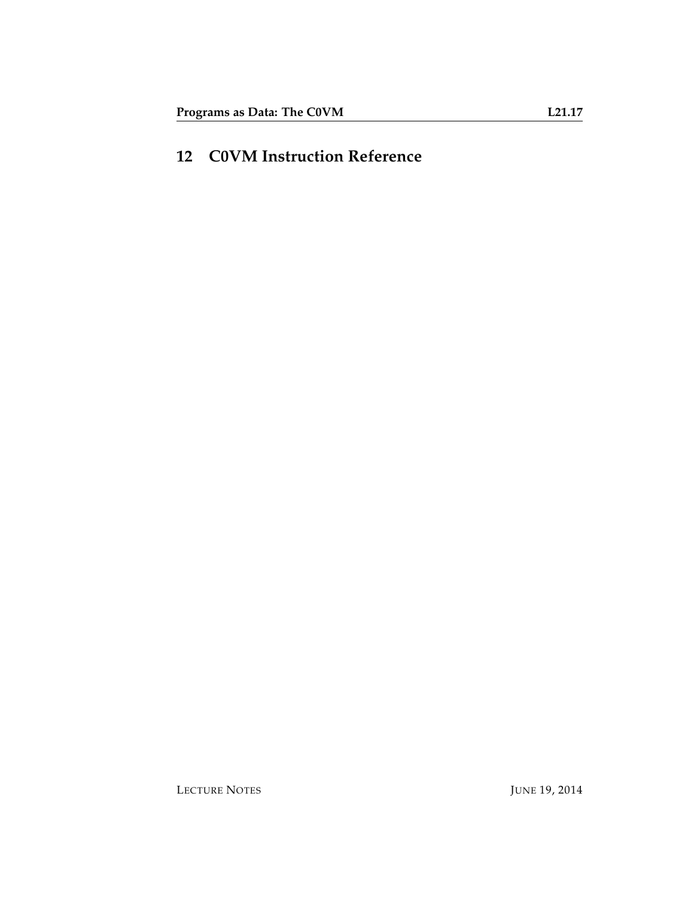### **12 C0VM Instruction Reference**